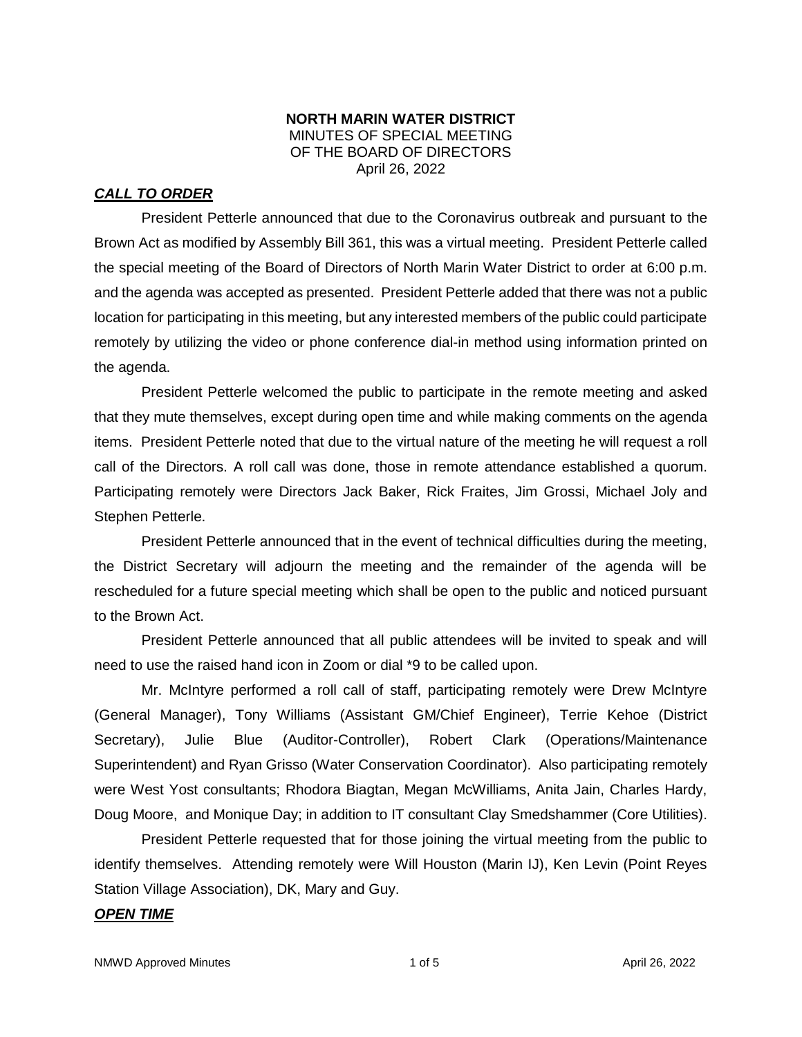#### **NORTH MARIN WATER DISTRICT** MINUTES OF SPECIAL MEETING OF THE BOARD OF DIRECTORS April 26, 2022

# *CALL TO ORDER*

President Petterle announced that due to the Coronavirus outbreak and pursuant to the Brown Act as modified by Assembly Bill 361, this was a virtual meeting. President Petterle called the special meeting of the Board of Directors of North Marin Water District to order at 6:00 p.m. and the agenda was accepted as presented. President Petterle added that there was not a public location for participating in this meeting, but any interested members of the public could participate remotely by utilizing the video or phone conference dial-in method using information printed on the agenda.

President Petterle welcomed the public to participate in the remote meeting and asked that they mute themselves, except during open time and while making comments on the agenda items. President Petterle noted that due to the virtual nature of the meeting he will request a roll call of the Directors. A roll call was done, those in remote attendance established a quorum. Participating remotely were Directors Jack Baker, Rick Fraites, Jim Grossi, Michael Joly and Stephen Petterle.

President Petterle announced that in the event of technical difficulties during the meeting, the District Secretary will adjourn the meeting and the remainder of the agenda will be rescheduled for a future special meeting which shall be open to the public and noticed pursuant to the Brown Act.

President Petterle announced that all public attendees will be invited to speak and will need to use the raised hand icon in Zoom or dial \*9 to be called upon.

Mr. McIntyre performed a roll call of staff, participating remotely were Drew McIntyre (General Manager), Tony Williams (Assistant GM/Chief Engineer), Terrie Kehoe (District Secretary), Julie Blue (Auditor-Controller), Robert Clark (Operations/Maintenance Superintendent) and Ryan Grisso (Water Conservation Coordinator). Also participating remotely were West Yost consultants; Rhodora Biagtan, Megan McWilliams, Anita Jain, Charles Hardy, Doug Moore, and Monique Day; in addition to IT consultant Clay Smedshammer (Core Utilities).

President Petterle requested that for those joining the virtual meeting from the public to identify themselves. Attending remotely were Will Houston (Marin IJ), Ken Levin (Point Reyes Station Village Association), DK, Mary and Guy.

## *OPEN TIME*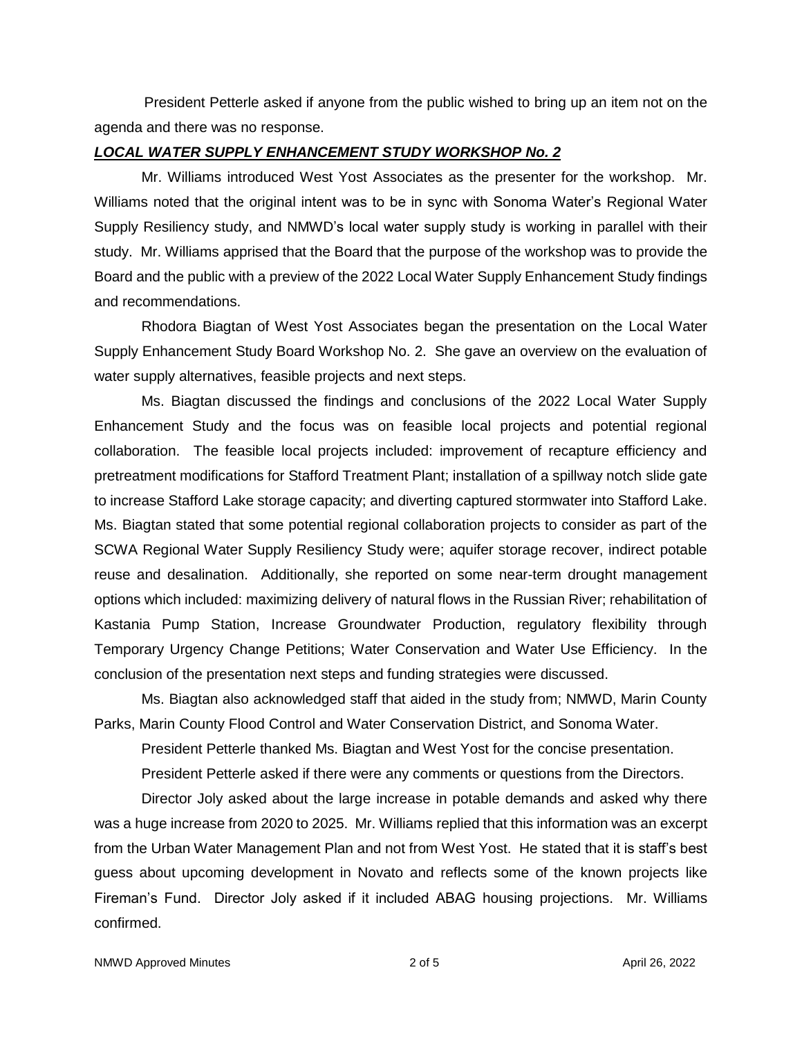President Petterle asked if anyone from the public wished to bring up an item not on the agenda and there was no response.

#### *LOCAL WATER SUPPLY ENHANCEMENT STUDY WORKSHOP No. 2*

Mr. Williams introduced West Yost Associates as the presenter for the workshop. Mr. Williams noted that the original intent was to be in sync with Sonoma Water's Regional Water Supply Resiliency study, and NMWD's local water supply study is working in parallel with their study. Mr. Williams apprised that the Board that the purpose of the workshop was to provide the Board and the public with a preview of the 2022 Local Water Supply Enhancement Study findings and recommendations.

Rhodora Biagtan of West Yost Associates began the presentation on the Local Water Supply Enhancement Study Board Workshop No. 2. She gave an overview on the evaluation of water supply alternatives, feasible projects and next steps.

Ms. Biagtan discussed the findings and conclusions of the 2022 Local Water Supply Enhancement Study and the focus was on feasible local projects and potential regional collaboration. The feasible local projects included: improvement of recapture efficiency and pretreatment modifications for Stafford Treatment Plant; installation of a spillway notch slide gate to increase Stafford Lake storage capacity; and diverting captured stormwater into Stafford Lake. Ms. Biagtan stated that some potential regional collaboration projects to consider as part of the SCWA Regional Water Supply Resiliency Study were; aquifer storage recover, indirect potable reuse and desalination. Additionally, she reported on some near-term drought management options which included: maximizing delivery of natural flows in the Russian River; rehabilitation of Kastania Pump Station, Increase Groundwater Production, regulatory flexibility through Temporary Urgency Change Petitions; Water Conservation and Water Use Efficiency. In the conclusion of the presentation next steps and funding strategies were discussed.

Ms. Biagtan also acknowledged staff that aided in the study from; NMWD, Marin County Parks, Marin County Flood Control and Water Conservation District, and Sonoma Water.

President Petterle thanked Ms. Biagtan and West Yost for the concise presentation.

President Petterle asked if there were any comments or questions from the Directors.

Director Joly asked about the large increase in potable demands and asked why there was a huge increase from 2020 to 2025. Mr. Williams replied that this information was an excerpt from the Urban Water Management Plan and not from West Yost. He stated that it is staff's best guess about upcoming development in Novato and reflects some of the known projects like Fireman's Fund. Director Joly asked if it included ABAG housing projections. Mr. Williams confirmed.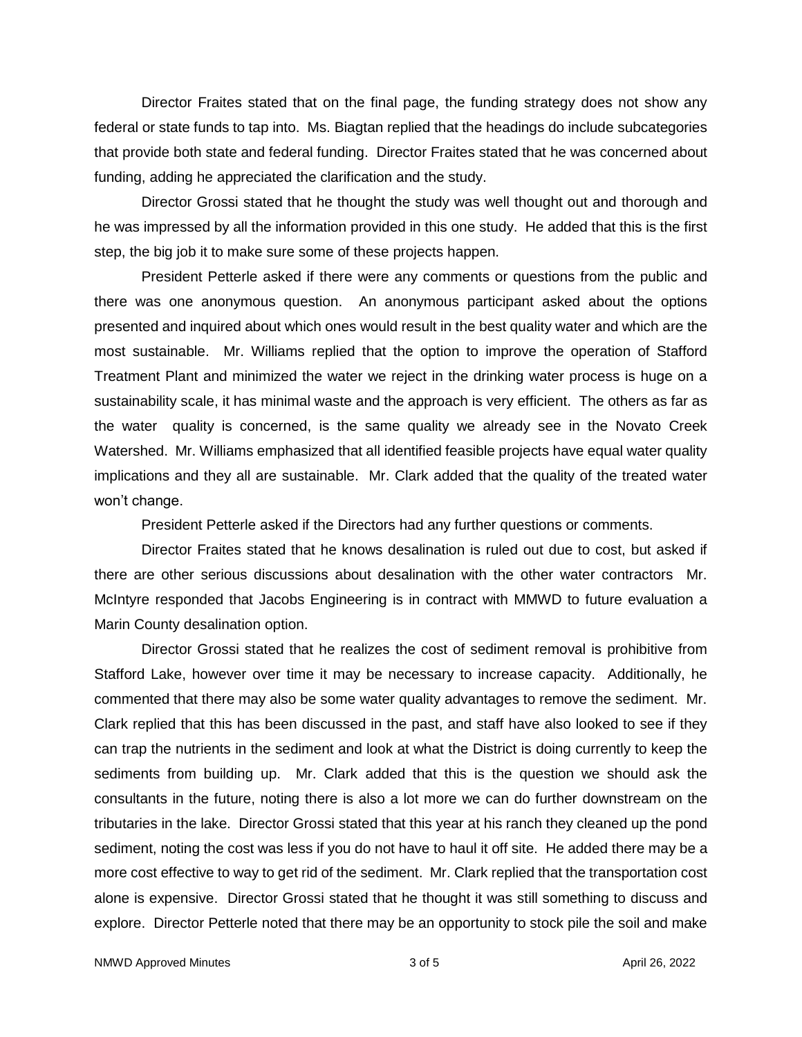Director Fraites stated that on the final page, the funding strategy does not show any federal or state funds to tap into. Ms. Biagtan replied that the headings do include subcategories that provide both state and federal funding. Director Fraites stated that he was concerned about funding, adding he appreciated the clarification and the study.

Director Grossi stated that he thought the study was well thought out and thorough and he was impressed by all the information provided in this one study. He added that this is the first step, the big job it to make sure some of these projects happen.

President Petterle asked if there were any comments or questions from the public and there was one anonymous question. An anonymous participant asked about the options presented and inquired about which ones would result in the best quality water and which are the most sustainable. Mr. Williams replied that the option to improve the operation of Stafford Treatment Plant and minimized the water we reject in the drinking water process is huge on a sustainability scale, it has minimal waste and the approach is very efficient. The others as far as the water quality is concerned, is the same quality we already see in the Novato Creek Watershed. Mr. Williams emphasized that all identified feasible projects have equal water quality implications and they all are sustainable. Mr. Clark added that the quality of the treated water won't change.

President Petterle asked if the Directors had any further questions or comments.

Director Fraites stated that he knows desalination is ruled out due to cost, but asked if there are other serious discussions about desalination with the other water contractors Mr. McIntyre responded that Jacobs Engineering is in contract with MMWD to future evaluation a Marin County desalination option.

Director Grossi stated that he realizes the cost of sediment removal is prohibitive from Stafford Lake, however over time it may be necessary to increase capacity. Additionally, he commented that there may also be some water quality advantages to remove the sediment. Mr. Clark replied that this has been discussed in the past, and staff have also looked to see if they can trap the nutrients in the sediment and look at what the District is doing currently to keep the sediments from building up. Mr. Clark added that this is the question we should ask the consultants in the future, noting there is also a lot more we can do further downstream on the tributaries in the lake. Director Grossi stated that this year at his ranch they cleaned up the pond sediment, noting the cost was less if you do not have to haul it off site. He added there may be a more cost effective to way to get rid of the sediment. Mr. Clark replied that the transportation cost alone is expensive. Director Grossi stated that he thought it was still something to discuss and explore. Director Petterle noted that there may be an opportunity to stock pile the soil and make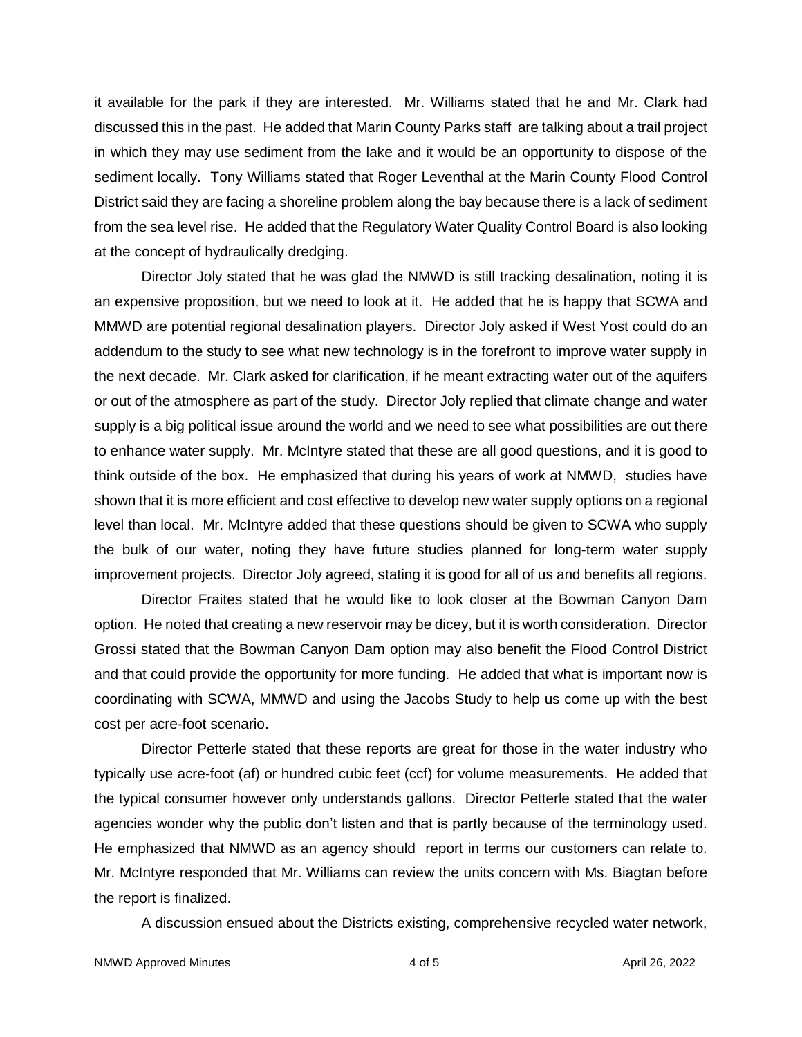it available for the park if they are interested. Mr. Williams stated that he and Mr. Clark had discussed this in the past. He added that Marin County Parks staff are talking about a trail project in which they may use sediment from the lake and it would be an opportunity to dispose of the sediment locally. Tony Williams stated that Roger Leventhal at the Marin County Flood Control District said they are facing a shoreline problem along the bay because there is a lack of sediment from the sea level rise. He added that the Regulatory Water Quality Control Board is also looking at the concept of hydraulically dredging.

Director Joly stated that he was glad the NMWD is still tracking desalination, noting it is an expensive proposition, but we need to look at it. He added that he is happy that SCWA and MMWD are potential regional desalination players. Director Joly asked if West Yost could do an addendum to the study to see what new technology is in the forefront to improve water supply in the next decade. Mr. Clark asked for clarification, if he meant extracting water out of the aquifers or out of the atmosphere as part of the study. Director Joly replied that climate change and water supply is a big political issue around the world and we need to see what possibilities are out there to enhance water supply. Mr. McIntyre stated that these are all good questions, and it is good to think outside of the box. He emphasized that during his years of work at NMWD, studies have shown that it is more efficient and cost effective to develop new water supply options on a regional level than local. Mr. McIntyre added that these questions should be given to SCWA who supply the bulk of our water, noting they have future studies planned for long-term water supply improvement projects. Director Joly agreed, stating it is good for all of us and benefits all regions.

Director Fraites stated that he would like to look closer at the Bowman Canyon Dam option. He noted that creating a new reservoir may be dicey, but it is worth consideration. Director Grossi stated that the Bowman Canyon Dam option may also benefit the Flood Control District and that could provide the opportunity for more funding. He added that what is important now is coordinating with SCWA, MMWD and using the Jacobs Study to help us come up with the best cost per acre-foot scenario.

Director Petterle stated that these reports are great for those in the water industry who typically use acre-foot (af) or hundred cubic feet (ccf) for volume measurements. He added that the typical consumer however only understands gallons. Director Petterle stated that the water agencies wonder why the public don't listen and that is partly because of the terminology used. He emphasized that NMWD as an agency should report in terms our customers can relate to. Mr. McIntyre responded that Mr. Williams can review the units concern with Ms. Biagtan before the report is finalized.

A discussion ensued about the Districts existing, comprehensive recycled water network,